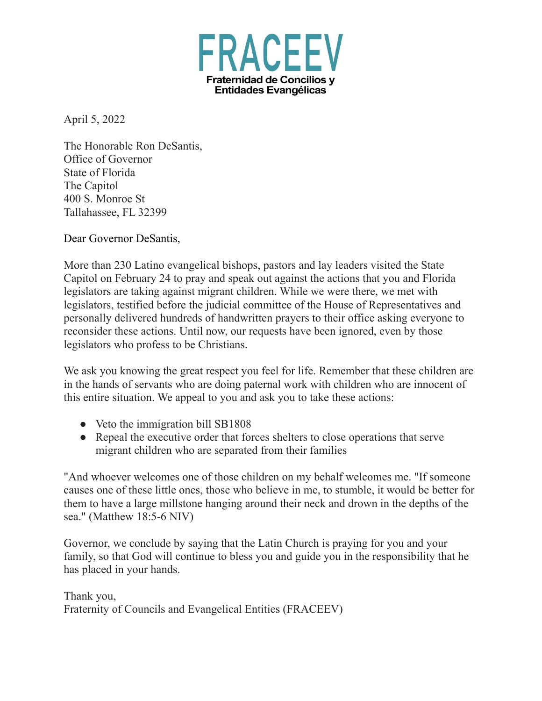

April 5, 2022

The Honorable Ron DeSantis, Office of Governor State of Florida The Capitol 400 S. Monroe St Tallahassee, FL 32399

Dear Governor DeSantis,

More than 230 Latino evangelical bishops, pastors and lay leaders visited the State Capitol on February 24 to pray and speak out against the actions that you and Florida legislators are taking against migrant children. While we were there, we met with legislators, testified before the judicial committee of the House of Representatives and personally delivered hundreds of handwritten prayers to their office asking everyone to reconsider these actions. Until now, our requests have been ignored, even by those legislators who profess to be Christians.

We ask you knowing the great respect you feel for life. Remember that these children are in the hands of servants who are doing paternal work with children who are innocent of this entire situation. We appeal to you and ask you to take these actions:

- Veto the immigration bill SB1808
- Repeal the executive order that forces shelters to close operations that serve migrant children who are separated from their families

"And whoever welcomes one of those children on my behalf welcomes me. "If someone causes one of these little ones, those who believe in me, to stumble, it would be better for them to have a large millstone hanging around their neck and drown in the depths of the sea." (Matthew 18:5-6 NIV)

Governor, we conclude by saying that the Latin Church is praying for you and your family, so that God will continue to bless you and guide you in the responsibility that he has placed in your hands.

Thank you, Fraternity of Councils and Evangelical Entities (FRACEEV)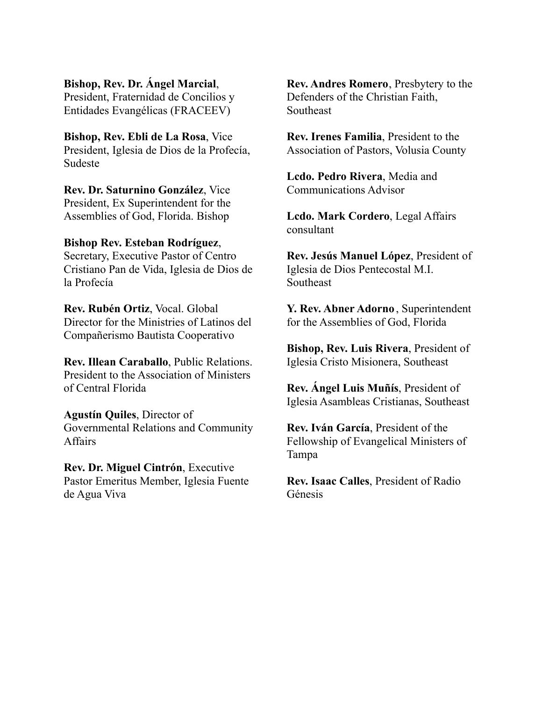**Bishop, Rev. Dr. Ángel Marcial**, President, Fraternidad de Concilios y Entidades Evangélicas (FRACEEV)

**Bishop, Rev. Ebli de La Rosa**, Vice President, Iglesia de Dios de la Profecía, Sudeste

**Rev. Dr. Saturnino González**, Vice President, Ex Superintendent for the Assemblies of God, Florida. Bishop

## **Bishop Rev. Esteban Rodríguez**, Secretary, Executive Pastor of Centro Cristiano Pan de Vida, Iglesia de Dios de la Profecía

**Rev. Rubén Ortiz**, Vocal. Global Director for the Ministries of Latinos del Compañerismo Bautista Cooperativo

**Rev. Illean Caraballo**, Public Relations. President to the Association of Ministers of Central Florida

**Agustín Quiles**, Director of Governmental Relations and Community Affairs

**Rev. Dr. Miguel Cintrón**, Executive Pastor Emeritus Member, Iglesia Fuente de Agua Viva

**Rev. Andres Romero**, Presbytery to the Defenders of the Christian Faith, Southeast

**Rev. Irenes Familia**, President to the Association of Pastors, Volusia County

**Lcdo. Pedro Rivera**, Media and Communications Advisor

**Lcdo. Mark Cordero**, Legal Affairs consultant

**Rev. Jesús Manuel López**, President of Iglesia de Dios Pentecostal M.I. Southeast

**Y. Rev. Abner Adorno** , Superintendent for the Assemblies of God, Florida

**Bishop, Rev. Luis Rivera**, President of Iglesia Cristo Misionera, Southeast

**Rev. Ángel Luis Muñís**, President of Iglesia Asambleas Cristianas, Southeast

**Rev. Iván García**, President of the Fellowship of Evangelical Ministers of Tampa

**Rev. Isaac Calles**, President of Radio Génesis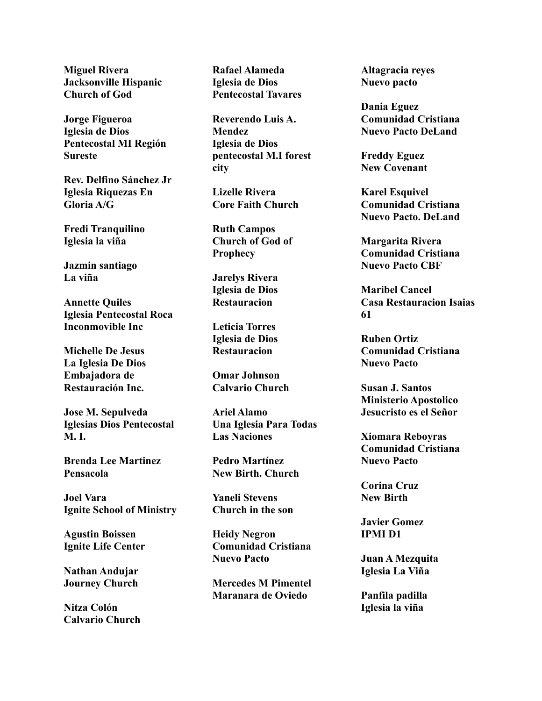**Miguel Rivera Jacksonville Hispanic Church of God**

**Jorge Figueroa Iglesia de Dios Pentecostal MI Región Sureste**

**Rev. Delfino Sánchez Jr Iglesia Riquezas En Gloria A/G**

**Fredi Tranquilino Iglesia la viña**

**Jazmin santiago La viña**

**Annette Quiles Iglesia Pentecostal Roca Inconmovible Inc**

**Michelle De Jesus La Iglesia De Dios Embajadora de Restauración Inc.**

**Jose M. Sepulveda Iglesias Dios Pentecostal M. I.**

**Brenda Lee Martinez Pensacola**

**Joel Vara Ignite School of Ministry**

**Agustin Boissen Ignite Life Center**

**Nathan Andujar Journey Church**

**Nitza Colón Calvario Church** **Rafael Alameda Iglesia de Dios Pentecostal Tavares**

**Reverendo Luis A. Mendez Iglesia de Dios pentecostal M.I forest city**

**Lizelle Rivera Core Faith Church**

**Ruth Campos Church of God of Prophecy**

**Jarelys Rivera Iglesia de Dios Restauracion**

**Leticia Torres Iglesia de Dios Restauracion**

**Omar Johnson Calvario Church**

**Ariel Alamo Una Iglesia Para Todas Las Naciones**

**Pedro Martínez New Birth. Church**

**Yaneli Stevens Church in the son**

**Heidy Negron Comunidad Cristiana Nuevo Pacto**

**Mercedes M Pimentel Maranara de Oviedo**

**Altagracia reyes Nuevo pacto**

**Dania Eguez Comunidad Cristiana Nuevo Pacto DeLand**

**Freddy Eguez New Covenant**

**Karel Esquivel Comunidad Cristiana Nuevo Pacto. DeLand**

**Margarita Rivera Comunidad Cristiana Nuevo Pacto CBF**

**Maribel Cancel Casa Restauracion Isaias 61**

**Ruben Ortiz Comunidad Cristiana Nuevo Pacto**

**Susan J. Santos Ministerio Apostolico Jesucristo es el Señor**

**Xiomara Reboyras Comunidad Cristiana Nuevo Pacto**

**Corina Cruz New Birth**

**Javier Gomez IPMI D1**

**Juan A Mezquita Iglesia La Viña**

**Panfila padilla Iglesia la viña**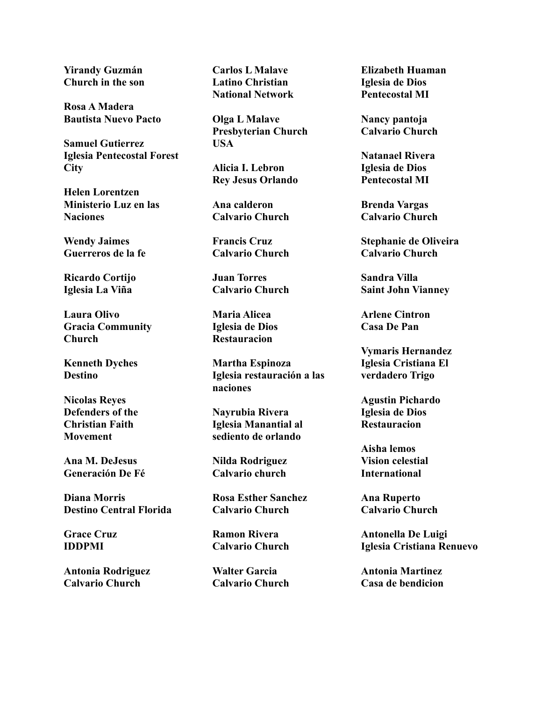**Yirandy Guzmán Church in the son**

**Rosa A Madera Bautista Nuevo Pacto**

**Samuel Gutierrez Iglesia Pentecostal Forest City**

**Helen Lorentzen Ministerio Luz en las Naciones**

**Wendy Jaimes Guerreros de la fe**

**Ricardo Cortijo Iglesia La Viña**

**Laura Olivo Gracia Community Church**

**Kenneth Dyches Destino**

**Nicolas Reyes Defenders of the Christian Faith Movement**

**Ana M. DeJesus Generación De Fé**

**Diana Morris Destino Central Florida**

**Grace Cruz IDDPMI**

**Antonia Rodriguez Calvario Church**

**Carlos L Malave Latino Christian National Network**

**Olga L Malave Presbyterian Church USA**

**Alicia I. Lebron Rey Jesus Orlando**

**Ana calderon Calvario Church**

**Francis Cruz Calvario Church**

**Juan Torres Calvario Church**

**Maria Alicea Iglesia de Dios Restauracion**

**Martha Espinoza Iglesia restauración a las naciones**

**Nayrubia Rivera Iglesia Manantial al sediento de orlando**

**Nilda Rodriguez Calvario church**

**Rosa Esther Sanchez Calvario Church**

**Ramon Rivera Calvario Church**

**Walter Garcia Calvario Church** **Elizabeth Huaman Iglesia de Dios Pentecostal MI**

**Nancy pantoja Calvario Church**

**Natanael Rivera Iglesia de Dios Pentecostal MI**

**Brenda Vargas Calvario Church**

**Stephanie de Oliveira Calvario Church**

**Sandra Villa Saint John Vianney**

**Arlene Cintron Casa De Pan**

**Vymaris Hernandez Iglesia Cristiana El verdadero Trigo**

**Agustin Pichardo Iglesia de Dios Restauracion**

**Aisha lemos Vision celestial International**

**Ana Ruperto Calvario Church**

**Antonella De Luigi Iglesia Cristiana Renuevo**

**Antonia Martinez Casa de bendicion**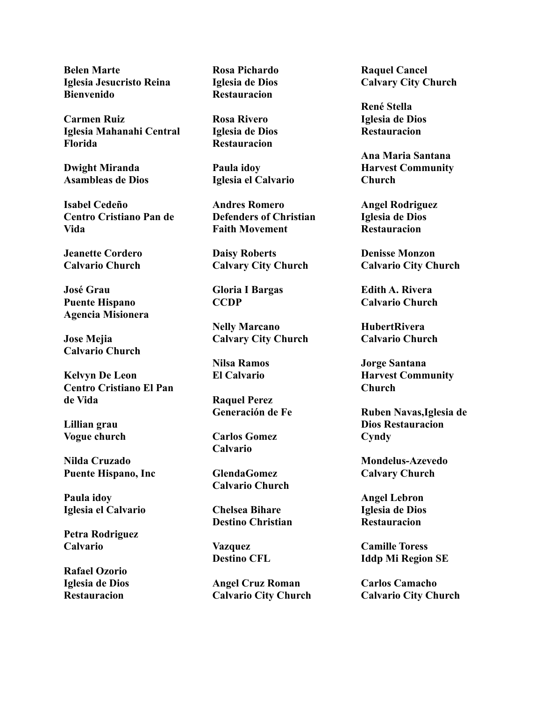**Belen Marte Iglesia Jesucristo Reina Bienvenido**

**Carmen Ruiz Iglesia Mahanahi Central Florida**

**Dwight Miranda Asambleas de Dios**

**Isabel Cedeño Centro Cristiano Pan de Vida**

**Jeanette Cordero Calvario Church**

**José Grau Puente Hispano Agencia Misionera**

**Jose Mejia Calvario Church**

**Kelvyn De Leon Centro Cristiano El Pan de Vida**

**Lillian grau Vogue church**

**Nilda Cruzado Puente Hispano, Inc**

**Paula idoy Iglesia el Calvario**

**Petra Rodriguez Calvario**

**Rafael Ozorio Iglesia de Dios Restauracion**

**Rosa Pichardo Iglesia de Dios Restauracion**

**Rosa Rivero Iglesia de Dios Restauracion**

**Paula idoy Iglesia el Calvario**

**Andres Romero Defenders of Christian Faith Movement**

**Daisy Roberts Calvary City Church**

**Gloria I Bargas CCDP**

**Nelly Marcano Calvary City Church**

**Nilsa Ramos El Calvario**

**Raquel Perez Generación de Fe**

**Carlos Gomez Calvario**

**GlendaGomez Calvario Church**

**Chelsea Bihare Destino Christian**

**Vazquez Destino CFL**

**Angel Cruz Roman Calvario City Church** **Raquel Cancel Calvary City Church**

**René Stella Iglesia de Dios Restauracion**

**Ana Maria Santana Harvest Community Church**

**Angel Rodriguez Iglesia de Dios Restauracion**

**Denisse Monzon Calvario City Church**

**Edith A. Rivera Calvario Church**

**HubertRivera Calvario Church**

**Jorge Santana Harvest Community Church**

**Ruben Navas,Iglesia de Dios Restauracion Cyndy**

**Mondelus-Azevedo Calvary Church**

**Angel Lebron Iglesia de Dios Restauracion**

**Camille Toress Iddp Mi Region SE**

**Carlos Camacho Calvario City Church**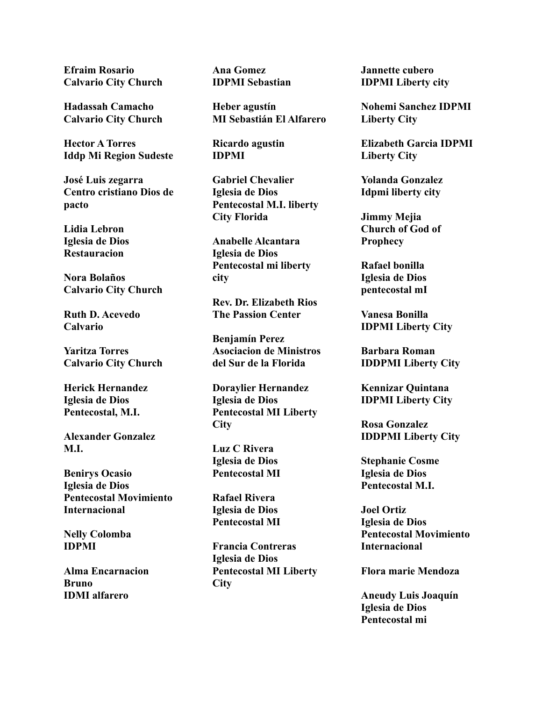**Efraim Rosario Calvario City Church**

**Hadassah Camacho Calvario City Church**

**Hector A Torres Iddp Mi Region Sudeste**

**José Luis zegarra Centro cristiano Dios de pacto**

**Lidia Lebron Iglesia de Dios Restauracion**

**Nora Bolaños Calvario City Church**

**Ruth D. Acevedo Calvario**

**Yaritza Torres Calvario City Church**

**Herick Hernandez Iglesia de Dios Pentecostal, M.I.**

**Alexander Gonzalez M.I.**

**Benirys Ocasio Iglesia de Dios Pentecostal Movimiento Internacional**

**Nelly Colomba IDPMI**

**Alma Encarnacion Bruno IDMI alfarero**

**Ana Gomez IDPMI Sebastian**

**Heber agustín MI Sebastián El Alfarero**

**Ricardo agustin IDPMI**

**Gabriel Chevalier Iglesia de Dios Pentecostal M.I. liberty City Florida**

**Anabelle Alcantara Iglesia de Dios Pentecostal mi liberty city**

**Rev. Dr. Elizabeth Rios The Passion Center**

**Benjamín Perez Asociacion de Ministros del Sur de la Florida**

**Doraylier Hernandez Iglesia de Dios Pentecostal MI Liberty City**

**Luz C Rivera Iglesia de Dios Pentecostal MI**

**Rafael Rivera Iglesia de Dios Pentecostal MI**

**Francia Contreras Iglesia de Dios Pentecostal MI Liberty City**

**Jannette cubero IDPMI Liberty city**

**Nohemi Sanchez IDPMI Liberty City**

**Elizabeth Garcia IDPMI Liberty City**

**Yolanda Gonzalez Idpmi liberty city**

**Jimmy Mejia Church of God of Prophecy**

**Rafael bonilla Iglesia de Dios pentecostal mI**

**Vanesa Bonilla IDPMI Liberty City**

**Barbara Roman IDDPMI Liberty City**

**Kennizar Quintana IDPMI Liberty City**

**Rosa Gonzalez IDDPMI Liberty City**

**Stephanie Cosme Iglesia de Dios Pentecostal M.I.**

**Joel Ortiz Iglesia de Dios Pentecostal Movimiento Internacional**

**Flora marie Mendoza**

**Aneudy Luis Joaquín Iglesia de Dios Pentecostal mi**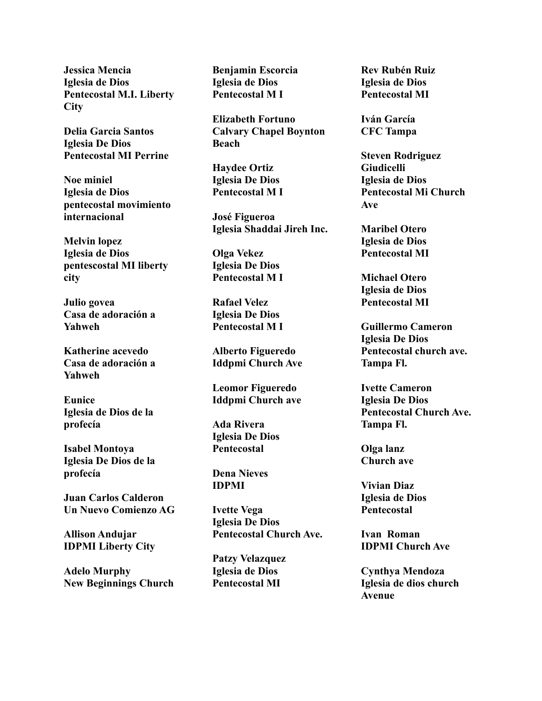**Jessica Mencia Iglesia de Dios Pentecostal M.I. Liberty City**

**Delia Garcia Santos Iglesia De Dios Pentecostal MI Perrine**

**Noe miniel Iglesia de Dios pentecostal movimiento internacional**

**Melvin lopez Iglesia de Dios pentescostal MI liberty city**

**Julio govea Casa de adoración a Yahweh**

**Katherine acevedo Casa de adoración a Yahweh**

**Eunice Iglesia de Dios de la profecía**

**Isabel Montoya Iglesia De Dios de la profecía**

**Juan Carlos Calderon Un Nuevo Comienzo AG**

**Allison Andujar IDPMI Liberty City**

**Adelo Murphy New Beginnings Church**

**Benjamin Escorcia Iglesia de Dios Pentecostal M I**

**Elizabeth Fortuno Calvary Chapel Boynton Beach**

**Haydee Ortiz Iglesia De Dios Pentecostal M I**

**José Figueroa Iglesia Shaddai Jireh Inc.**

**Olga Vekez Iglesia De Dios Pentecostal M I**

**Rafael Velez Iglesia De Dios Pentecostal M I**

**Alberto Figueredo Iddpmi Church Ave**

**Leomor Figueredo Iddpmi Church ave**

**Ada Rivera Iglesia De Dios Pentecostal**

**Dena Nieves IDPMI**

**Ivette Vega Iglesia De Dios Pentecostal Church Ave.**

**Patzy Velazquez Iglesia de Dios Pentecostal MI**

**Rev Rubén Ruiz Iglesia de Dios Pentecostal MI**

**Iván García CFC Tampa**

**Steven Rodriguez Giudicelli Iglesia de Dios Pentecostal Mi Church Ave**

**Maribel Otero Iglesia de Dios Pentecostal MI**

**Michael Otero Iglesia de Dios Pentecostal MI**

**Guillermo Cameron Iglesia De Dios Pentecostal church ave. Tampa Fl.**

**Ivette Cameron Iglesia De Dios Pentecostal Church Ave. Tampa Fl.**

**Olga lanz Church ave**

**Vivian Diaz Iglesia de Dios Pentecostal**

**Ivan Roman IDPMI Church Ave**

**Cynthya Mendoza Iglesia de dios church Avenue**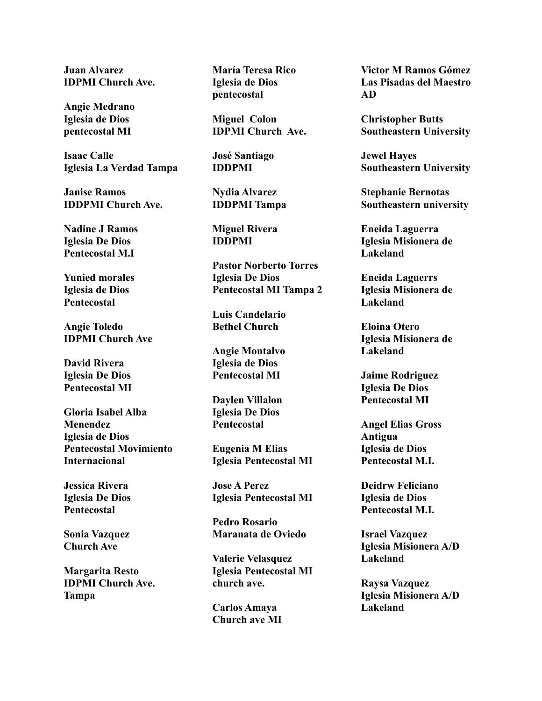**Juan Alvarez IDPMI Church Ave.**

**Angie Medrano Iglesia de Dios pentecostal MI**

**Isaac Calle Iglesia La Verdad Tampa**

**Janise Ramos IDDPMI Church Ave.**

**Nadine J Ramos Iglesia De Dios Pentecostal M.I**

**Yunied morales Iglesia de Dios Pentecostal**

**Angie Toledo IDPMI Church Ave**

**David Rivera Iglesia De Dios Pentecostal MI**

**Gloria Isabel Alba Menendez Iglesia de Dios Pentecostal Movimiento Internacional**

**Jessica Rivera Iglesia De Dios Pentecostal**

**Sonia Vazquez Church Ave**

**Margarita Resto IDPMI Church Ave. Tampa**

**María Teresa Rico Iglesia de Dios pentecostal**

**Miguel Colon IDPMI Church Ave.**

**José Santiago IDDPMI**

**Nydia Alvarez IDDPMI Tampa**

**Miguel Rivera IDDPMI**

**Pastor Norberto Torres Iglesia De Dios Pentecostal MI Tampa 2**

**Luis Candelario Bethel Church**

**Angie Montalvo Iglesia de Dios Pentecostal MI**

**Daylen Villalon Iglesia De Dios Pentecostal**

**Eugenia M Elias Iglesia Pentecostal MI**

**Jose A Perez Iglesia Pentecostal MI**

**Pedro Rosario Maranata de Oviedo**

**Valerie Velasquez Iglesia Pentecostal MI church ave.**

**Carlos Amaya Church ave MI** **Victor M Ramos Gómez Las Pisadas del Maestro AD**

**Christopher Butts Southeastern University**

**Jewel Hayes Southeastern University**

**Stephanie Bernotas Southeastern university**

**Eneida Laguerra Iglesia Misionera de Lakeland**

**Eneida Laguerrs Iglesia Misionera de Lakeland**

**Eloina Otero Iglesia Misionera de Lakeland**

**Jaime Rodriguez Iglesia De Dios Pentecostal MI**

**Angel Elias Gross Antigua Iglesia de Dios Pentecostal M.I.**

**Deidrw Feliciano Iglesia de Dios Pentecostal M.I.**

**Israel Vazquez Iglesia Misionera A/D Lakeland**

**Raysa Vazquez Iglesia Misionera A/D Lakeland**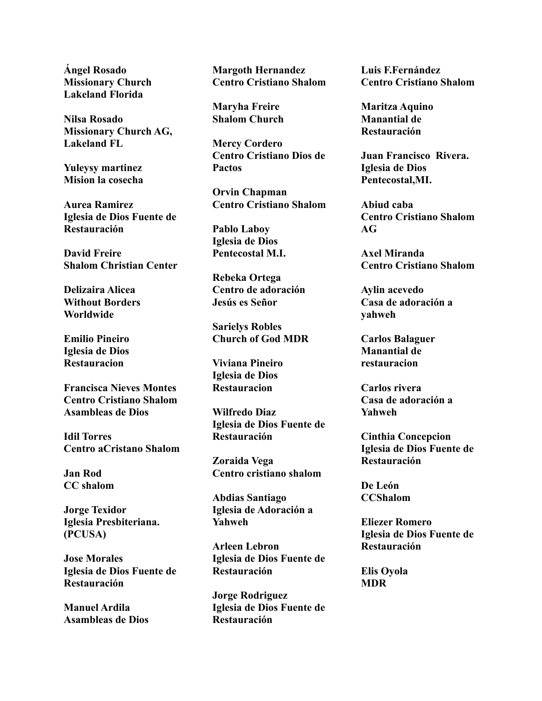**Ángel Rosado Missionary Church Lakeland Florida**

**Nilsa Rosado Missionary Church AG, Lakeland FL**

**Yuleysy martinez Mision la cosecha**

**Aurea Ramirez Iglesia de Dios Fuente de Restauración**

**David Freire Shalom Christian Center**

**Delizaira Alicea Without Borders Worldwide**

**Emilio Pineiro Iglesia de Dios Restauracion**

**Francisca Nieves Montes Centro Cristiano Shalom Asambleas de Dios**

**Idil Torres Centro aCristano Shalom**

**Jan Rod CC shalom**

**Jorge Texidor Iglesia Presbiteriana. (PCUSA)**

**Jose Morales Iglesia de Dios Fuente de Restauración**

**Manuel Ardila Asambleas de Dios** **Margoth Hernandez Centro Cristiano Shalom**

**Maryha Freire Shalom Church**

**Mercy Cordero Centro Cristiano Dios de Pactos**

**Orvin Chapman Centro Cristiano Shalom**

**Pablo Laboy Iglesia de Dios Pentecostal M.I.**

**Rebeka Ortega Centro de adoración Jesús es Señor**

**Sarielys Robles Church of God MDR**

**Viviana Pineiro Iglesia de Dios Restauracion**

**Wilfredo Diaz Iglesia de Dios Fuente de Restauración**

**Zoraida Vega Centro cristiano shalom**

**Abdias Santiago Iglesia de Adoración a Yahweh**

**Arleen Lebron Iglesia de Dios Fuente de Restauración**

**Jorge Rodriguez Iglesia de Dios Fuente de Restauración**

**Luis F.Fernández Centro Cristiano Shalom**

**Maritza Aquino Manantial de Restauración**

**Juan Francisco Rivera. Iglesia de Dios Pentecostal,MI.**

**Abiud caba Centro Cristiano Shalom AG**

**Axel Miranda Centro Cristiano Shalom**

**Aylin acevedo Casa de adoración a yahweh**

**Carlos Balaguer Manantial de restauracion**

**Carlos rivera Casa de adoración a Yahweh**

**Cinthia Concepcion Iglesia de Dios Fuente de Restauración**

**De León CCShalom**

**Eliezer Romero Iglesia de Dios Fuente de Restauración**

**Elis Oyola MDR**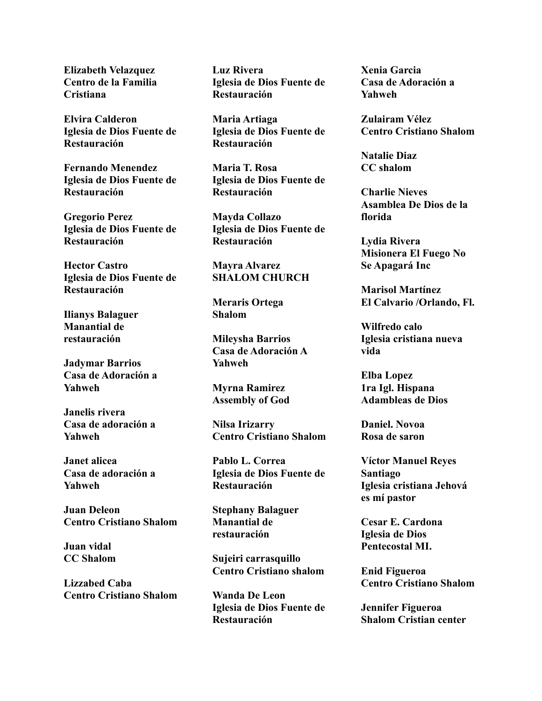**Elizabeth Velazquez Centro de la Familia Cristiana**

**Elvira Calderon Iglesia de Dios Fuente de Restauración**

**Fernando Menendez Iglesia de Dios Fuente de Restauración**

**Gregorio Perez Iglesia de Dios Fuente de Restauración**

**Hector Castro Iglesia de Dios Fuente de Restauración**

**Ilianys Balaguer Manantial de restauración**

**Jadymar Barrios Casa de Adoración a Yahweh**

**Janelis rivera Casa de adoración a Yahweh**

**Janet alicea Casa de adoración a Yahweh**

**Juan Deleon Centro Cristiano Shalom**

**Juan vidal CC Shalom**

**Lizzabed Caba Centro Cristiano Shalom** **Luz Rivera Iglesia de Dios Fuente de Restauración**

**Maria Artiaga Iglesia de Dios Fuente de Restauración**

**Maria T. Rosa Iglesia de Dios Fuente de Restauración**

**Mayda Collazo Iglesia de Dios Fuente de Restauración**

**Mayra Alvarez SHALOM CHURCH**

**Meraris Ortega Shalom**

**Mileysha Barrios Casa de Adoración A Yahweh**

**Myrna Ramirez Assembly of God**

**Nilsa Irizarry Centro Cristiano Shalom**

**Pablo L. Correa Iglesia de Dios Fuente de Restauración**

**Stephany Balaguer Manantial de restauración**

**Sujeiri carrasquillo Centro Cristiano shalom**

**Wanda De Leon Iglesia de Dios Fuente de Restauración**

**Xenia Garcia Casa de Adoración a Yahweh**

**Zulairam Vélez Centro Cristiano Shalom**

**Natalie Diaz CC shalom**

**Charlie Nieves Asamblea De Dios de la florida**

**Lydia Rivera Misionera El Fuego No Se Apagará Inc**

**Marisol Martínez El Calvario /Orlando, Fl.**

**Wilfredo calo Iglesia cristiana nueva vida**

**Elba Lopez 1ra Igl. Hispana Adambleas de Dios**

**Daniel. Novoa Rosa de saron**

**Víctor Manuel Reyes Santiago Iglesia cristiana Jehová es mí pastor**

**Cesar E. Cardona Iglesia de Dios Pentecostal MI.**

**Enid Figueroa Centro Cristiano Shalom**

**Jennifer Figueroa Shalom Cristian center**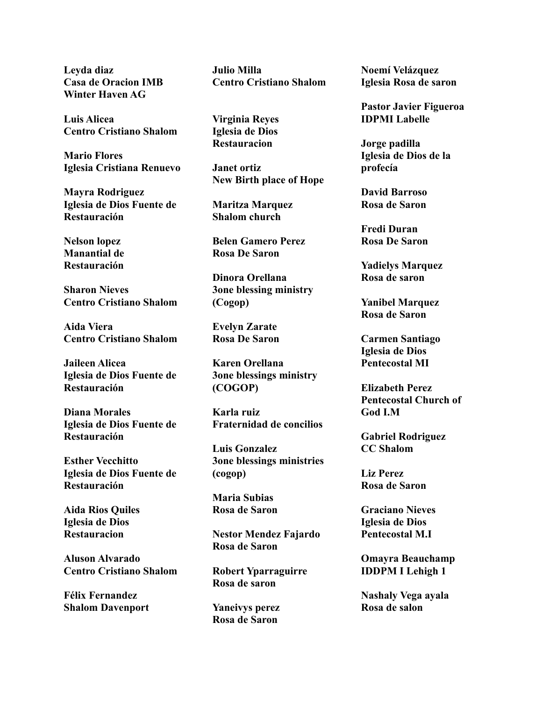**Leyda diaz Casa de Oracion IMB Winter Haven AG**

**Luis Alicea Centro Cristiano Shalom**

**Mario Flores Iglesia Cristiana Renuevo**

**Mayra Rodriguez Iglesia de Dios Fuente de Restauración**

**Nelson lopez Manantial de Restauración**

**Sharon Nieves Centro Cristiano Shalom**

**Aida Viera Centro Cristiano Shalom**

**Jaileen Alicea Iglesia de Dios Fuente de Restauración**

**Diana Morales Iglesia de Dios Fuente de Restauración**

**Esther Vecchitto Iglesia de Dios Fuente de Restauración**

**Aida Rios Quiles Iglesia de Dios Restauracion**

**Aluson Alvarado Centro Cristiano Shalom**

**Félix Fernandez Shalom Davenport** **Julio Milla Centro Cristiano Shalom**

**Virginia Reyes Iglesia de Dios Restauracion**

**Janet ortiz New Birth place of Hope**

**Maritza Marquez Shalom church**

**Belen Gamero Perez Rosa De Saron**

**Dinora Orellana 3one blessing ministry (Cogop)**

**Evelyn Zarate Rosa De Saron**

**Karen Orellana 3one blessings ministry (COGOP)**

**Karla ruiz Fraternidad de concilios**

**Luis Gonzalez 3one blessings ministries (cogop)**

**Maria Subias Rosa de Saron**

**Nestor Mendez Fajardo Rosa de Saron**

**Robert Yparraguirre Rosa de saron**

**Yaneivys perez Rosa de Saron**

**Noemí Velázquez Iglesia Rosa de saron**

**Pastor Javier Figueroa IDPMI Labelle**

**Jorge padilla Iglesia de Dios de la profecía**

**David Barroso Rosa de Saron**

**Fredi Duran Rosa De Saron**

**Yadielys Marquez Rosa de saron**

**Yanibel Marquez Rosa de Saron**

**Carmen Santiago Iglesia de Dios Pentecostal MI**

**Elizabeth Perez Pentecostal Church of God I.M**

**Gabriel Rodriguez CC Shalom**

**Liz Perez Rosa de Saron**

**Graciano Nieves Iglesia de Dios Pentecostal M.I**

**Omayra Beauchamp IDDPM I Lehigh 1**

**Nashaly Vega ayala Rosa de salon**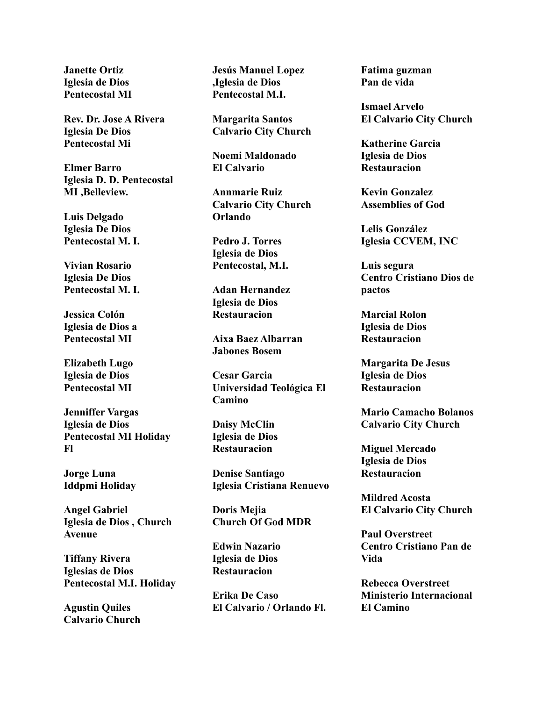**Janette Ortiz Iglesia de Dios Pentecostal MI**

**Rev. Dr. Jose A Rivera Iglesia De Dios Pentecostal Mi**

**Elmer Barro Iglesia D. D. Pentecostal MI ,Belleview.**

**Luis Delgado Iglesia De Dios Pentecostal M. I.**

**Vivian Rosario Iglesia De Dios Pentecostal M. I.**

**Jessica Colón Iglesia de Dios a Pentecostal MI**

**Elizabeth Lugo Iglesia de Dios Pentecostal MI**

**Jenniffer Vargas Iglesia de Dios Pentecostal MI Holiday Fl**

**Jorge Luna Iddpmi Holiday**

**Angel Gabriel Iglesia de Dios , Church Avenue**

**Tiffany Rivera Iglesias de Dios Pentecostal M.I. Holiday**

**Agustin Quiles Calvario Church** **Jesús Manuel Lopez ,Iglesia de Dios Pentecostal M.I.**

**Margarita Santos Calvario City Church**

**Noemi Maldonado El Calvario**

**Annmarie Ruiz Calvario City Church Orlando**

**Pedro J. Torres Iglesia de Dios Pentecostal, M.I.**

**Adan Hernandez Iglesia de Dios Restauracion**

**Aixa Baez Albarran Jabones Bosem**

**Cesar Garcia Universidad Teológica El Camino**

**Daisy McClin Iglesia de Dios Restauracion**

**Denise Santiago Iglesia Cristiana Renuevo**

**Doris Mejia Church Of God MDR**

**Edwin Nazario Iglesia de Dios Restauracion**

**Erika De Caso El Calvario / Orlando Fl.** **Fatima guzman Pan de vida**

**Ismael Arvelo El Calvario City Church**

**Katherine Garcia Iglesia de Dios Restauracion**

**Kevin Gonzalez Assemblies of God**

**Lelis González Iglesia CCVEM, INC**

**Luis segura Centro Cristiano Dios de pactos**

**Marcial Rolon Iglesia de Dios Restauracion**

**Margarita De Jesus Iglesia de Dios Restauracion**

**Mario Camacho Bolanos Calvario City Church**

**Miguel Mercado Iglesia de Dios Restauracion**

**Mildred Acosta El Calvario City Church**

**Paul Overstreet Centro Cristiano Pan de Vida**

**Rebecca Overstreet Ministerio Internacional El Camino**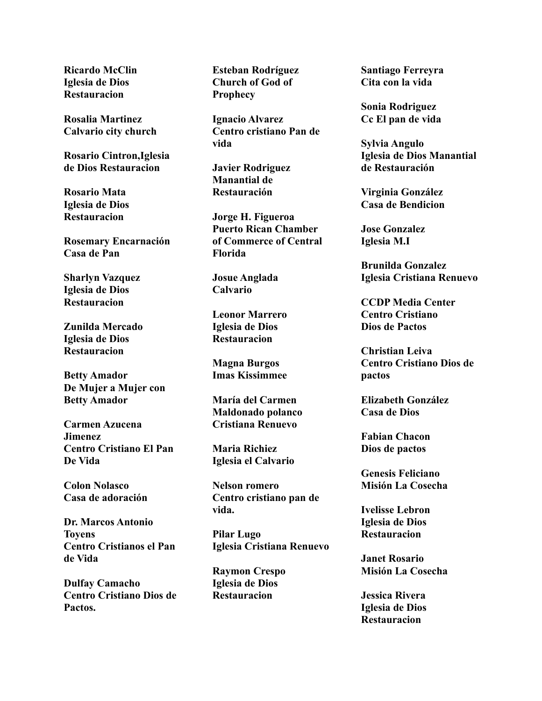**Ricardo McClin Iglesia de Dios Restauracion**

**Rosalia Martinez Calvario city church**

**Rosario Cintron,Iglesia de Dios Restauracion**

**Rosario Mata Iglesia de Dios Restauracion**

**Rosemary Encarnación Casa de Pan**

**Sharlyn Vazquez Iglesia de Dios Restauracion**

**Zunilda Mercado Iglesia de Dios Restauracion**

**Betty Amador De Mujer a Mujer con Betty Amador**

**Carmen Azucena Jimenez Centro Cristiano El Pan De Vida**

**Colon Nolasco Casa de adoración**

**Dr. Marcos Antonio Toyens Centro Cristianos el Pan de Vida**

**Dulfay Camacho Centro Cristiano Dios de Pactos.**

**Esteban Rodríguez Church of God of Prophecy**

**Ignacio Alvarez Centro cristiano Pan de vida**

**Javier Rodriguez Manantial de Restauración**

**Jorge H. Figueroa Puerto Rican Chamber of Commerce of Central Florida**

**Josue Anglada Calvario**

**Leonor Marrero Iglesia de Dios Restauracion**

**Magna Burgos Imas Kissimmee**

**María del Carmen Maldonado polanco Cristiana Renuevo**

**Maria Richiez Iglesia el Calvario**

**Nelson romero Centro cristiano pan de vida.**

**Pilar Lugo Iglesia Cristiana Renuevo**

**Raymon Crespo Iglesia de Dios Restauracion**

**Santiago Ferreyra Cita con la vida**

**Sonia Rodriguez Cc El pan de vida**

**Sylvia Angulo Iglesia de Dios Manantial de Restauración**

**Virginia González Casa de Bendicion**

**Jose Gonzalez Iglesia M.I**

**Brunilda Gonzalez Iglesia Cristiana Renuevo**

**CCDP Media Center Centro Cristiano Dios de Pactos**

**Christian Leiva Centro Cristiano Dios de pactos**

**Elizabeth González Casa de Dios**

**Fabian Chacon Dios de pactos**

**Genesis Feliciano Misión La Cosecha**

**Ivelisse Lebron Iglesia de Dios Restauracion**

**Janet Rosario Misión La Cosecha**

**Jessica Rivera Iglesia de Dios Restauracion**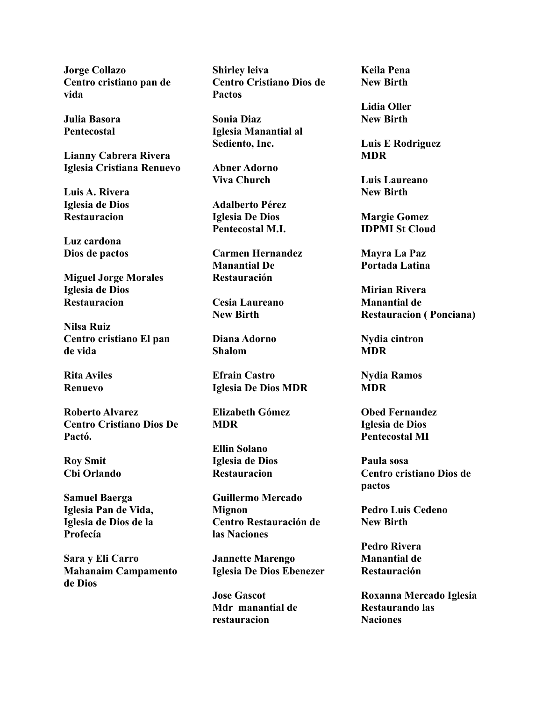**Jorge Collazo Centro cristiano pan de vida**

**Julia Basora Pentecostal**

**Lianny Cabrera Rivera Iglesia Cristiana Renuevo**

**Luis A. Rivera Iglesia de Dios Restauracion**

**Luz cardona Dios de pactos**

**Miguel Jorge Morales Iglesia de Dios Restauracion**

**Nilsa Ruiz Centro cristiano El pan de vida**

**Rita Aviles Renuevo**

**Roberto Alvarez Centro Cristiano Dios De Pactó.**

**Roy Smit Cbi Orlando**

**Samuel Baerga Iglesia Pan de Vida, Iglesia de Dios de la Profecía**

**Sara y Eli Carro Mahanaim Campamento de Dios**

**Shirley leiva Centro Cristiano Dios de Pactos**

**Sonia Diaz Iglesia Manantial al Sediento, Inc.**

**Abner Adorno Viva Church**

**Adalberto Pérez Iglesia De Dios Pentecostal M.I.**

**Carmen Hernandez Manantial De Restauración**

**Cesia Laureano New Birth**

**Diana Adorno Shalom**

**Efrain Castro Iglesia De Dios MDR**

**Elizabeth Gómez MDR**

**Ellin Solano Iglesia de Dios Restauracion**

**Guillermo Mercado Mignon Centro Restauración de las Naciones**

**Jannette Marengo Iglesia De Dios Ebenezer**

**Jose Gascot Mdr manantial de restauracion**

**Keila Pena New Birth**

**Lidia Oller New Birth**

**Luis E Rodriguez MDR**

**Luis Laureano New Birth**

**Margie Gomez IDPMI St Cloud**

**Mayra La Paz Portada Latina**

**Mirian Rivera Manantial de Restauracion ( Ponciana)**

**Nydia cintron MDR**

**Nydia Ramos MDR**

**Obed Fernandez Iglesia de Dios Pentecostal MI**

**Paula sosa Centro cristiano Dios de pactos**

**Pedro Luis Cedeno New Birth**

**Pedro Rivera Manantial de Restauración**

**Roxanna Mercado Iglesia Restaurando las Naciones**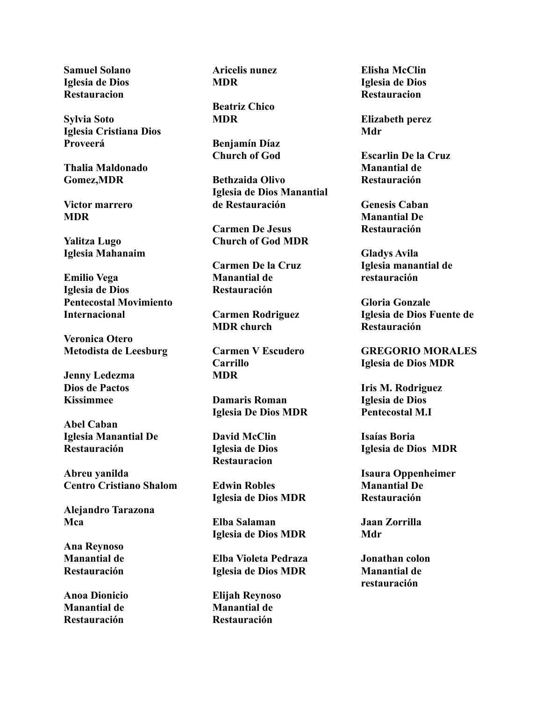**Samuel Solano Iglesia de Dios Restauracion**

**Sylvia Soto Iglesia Cristiana Dios Proveerá**

**Thalia Maldonado Gomez,MDR**

**Victor marrero MDR**

**Yalitza Lugo Iglesia Mahanaim**

**Emilio Vega Iglesia de Dios Pentecostal Movimiento Internacional**

**Veronica Otero Metodista de Leesburg**

**Jenny Ledezma Dios de Pactos Kissimmee**

**Abel Caban Iglesia Manantial De Restauración**

**Abreu yanilda Centro Cristiano Shalom**

**Alejandro Tarazona Mca**

**Ana Reynoso Manantial de Restauración**

**Anoa Dionicio Manantial de Restauración**

**Aricelis nunez MDR**

**Beatriz Chico MDR**

**Benjamín Díaz Church of God**

**Bethzaida Olivo Iglesia de Dios Manantial de Restauración**

**Carmen De Jesus Church of God MDR**

**Carmen De la Cruz Manantial de Restauración**

**Carmen Rodriguez MDR church**

**Carmen V Escudero Carrillo MDR**

**Damaris Roman Iglesia De Dios MDR**

**David McClin Iglesia de Dios Restauracion**

**Edwin Robles Iglesia de Dios MDR**

**Elba Salaman Iglesia de Dios MDR**

**Elba Violeta Pedraza Iglesia de Dios MDR**

**Elijah Reynoso Manantial de Restauración**

**Elisha McClin Iglesia de Dios Restauracion**

**Elizabeth perez Mdr**

**Escarlin De la Cruz Manantial de Restauración**

**Genesis Caban Manantial De Restauración**

**Gladys Avila Iglesia manantial de restauración**

**Gloria Gonzale Iglesia de Dios Fuente de Restauración**

**GREGORIO MORALES Iglesia de Dios MDR**

**Iris M. Rodriguez Iglesia de Dios Pentecostal M.I**

**Isaías Boria Iglesia de Dios MDR**

**Isaura Oppenheimer Manantial De Restauración**

**Jaan Zorrilla Mdr**

**Jonathan colon Manantial de restauración**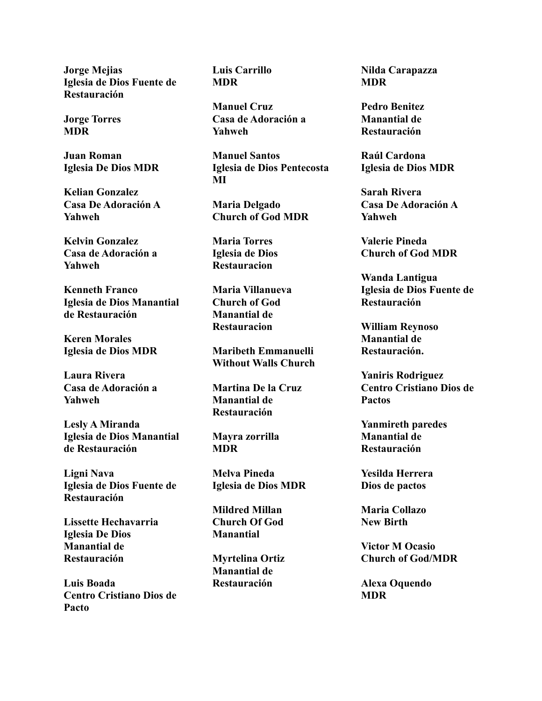**Jorge Mejias Iglesia de Dios Fuente de Restauración**

**Jorge Torres MDR**

**Juan Roman Iglesia De Dios MDR**

**Kelian Gonzalez Casa De Adoración A Yahweh**

**Kelvin Gonzalez Casa de Adoración a Yahweh**

**Kenneth Franco Iglesia de Dios Manantial de Restauración**

**Keren Morales Iglesia de Dios MDR**

**Laura Rivera Casa de Adoración a Yahweh**

**Lesly A Miranda Iglesia de Dios Manantial de Restauración**

**Ligni Nava Iglesia de Dios Fuente de Restauración**

**Lissette Hechavarria Iglesia De Dios Manantial de Restauración**

**Luis Boada Centro Cristiano Dios de Pacto**

**Luis Carrillo MDR**

**Manuel Cruz Casa de Adoración a Yahweh**

**Manuel Santos Iglesia de Dios Pentecosta MI**

**Maria Delgado Church of God MDR**

**Maria Torres Iglesia de Dios Restauracion**

**Maria Villanueva Church of God Manantial de Restauracion**

**Maribeth Emmanuelli Without Walls Church**

**Martina De la Cruz Manantial de Restauración**

**Mayra zorrilla MDR**

**Melva Pineda Iglesia de Dios MDR**

**Mildred Millan Church Of God Manantial**

**Myrtelina Ortiz Manantial de Restauración**

**Nilda Carapazza MDR**

**Pedro Benitez Manantial de Restauración**

**Raúl Cardona Iglesia de Dios MDR**

**Sarah Rivera Casa De Adoración A Yahweh**

**Valerie Pineda Church of God MDR**

**Wanda Lantigua Iglesia de Dios Fuente de Restauración**

**William Reynoso Manantial de Restauración.**

**Yaniris Rodriguez Centro Cristiano Dios de Pactos**

**Yanmireth paredes Manantial de Restauración**

**Yesilda Herrera Dios de pactos**

**Maria Collazo New Birth**

**Victor M Ocasio Church of God/MDR**

**Alexa Oquendo MDR**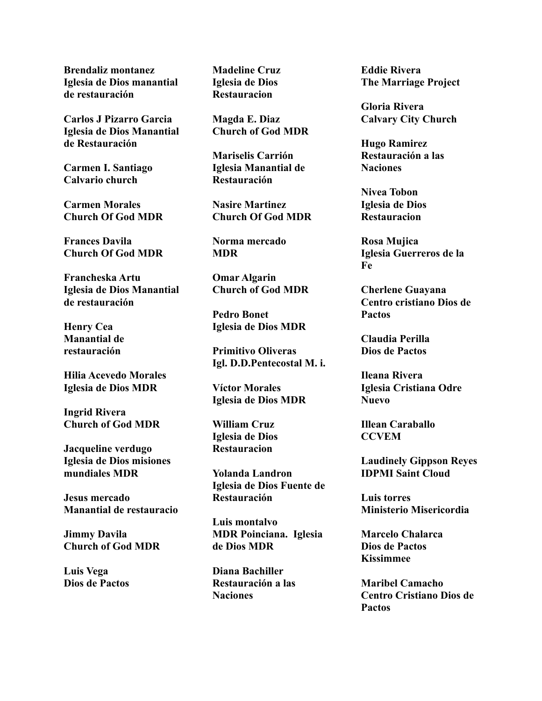**Brendaliz montanez Iglesia de Dios manantial de restauración**

**Carlos J Pizarro Garcia Iglesia de Dios Manantial de Restauración**

**Carmen I. Santiago Calvario church**

**Carmen Morales Church Of God MDR**

**Frances Davila Church Of God MDR**

**Francheska Artu Iglesia de Dios Manantial de restauración**

**Henry Cea Manantial de restauración**

**Hilia Acevedo Morales Iglesia de Dios MDR**

**Ingrid Rivera Church of God MDR**

**Jacqueline verdugo Iglesia de Dios misiones mundiales MDR**

**Jesus mercado Manantial de restauracio**

**Jimmy Davila Church of God MDR**

**Luis Vega Dios de Pactos** **Madeline Cruz Iglesia de Dios Restauracion**

**Magda E. Diaz Church of God MDR**

**Mariselis Carrión Iglesia Manantial de Restauración**

**Nasire Martinez Church Of God MDR**

**Norma mercado MDR**

**Omar Algarin Church of God MDR**

**Pedro Bonet Iglesia de Dios MDR**

**Primitivo Oliveras Igl. D.D.Pentecostal M. i.**

**Víctor Morales Iglesia de Dios MDR**

**William Cruz Iglesia de Dios Restauracion**

**Yolanda Landron Iglesia de Dios Fuente de Restauración**

**Luis montalvo MDR Poinciana. Iglesia de Dios MDR**

**Diana Bachiller Restauración a las Naciones**

**Eddie Rivera The Marriage Project**

**Gloria Rivera Calvary City Church**

**Hugo Ramirez Restauración a las Naciones**

**Nivea Tobon Iglesia de Dios Restauracion**

**Rosa Mujica Iglesia Guerreros de la Fe**

**Cherlene Guayana Centro cristiano Dios de Pactos**

**Claudia Perilla Dios de Pactos**

**Ileana Rivera Iglesia Cristiana Odre Nuevo**

**Illean Caraballo CCVEM**

**Laudinely Gippson Reyes IDPMI Saint Cloud**

**Luis torres Ministerio Misericordia**

**Marcelo Chalarca Dios de Pactos Kissimmee**

**Maribel Camacho Centro Cristiano Dios de Pactos**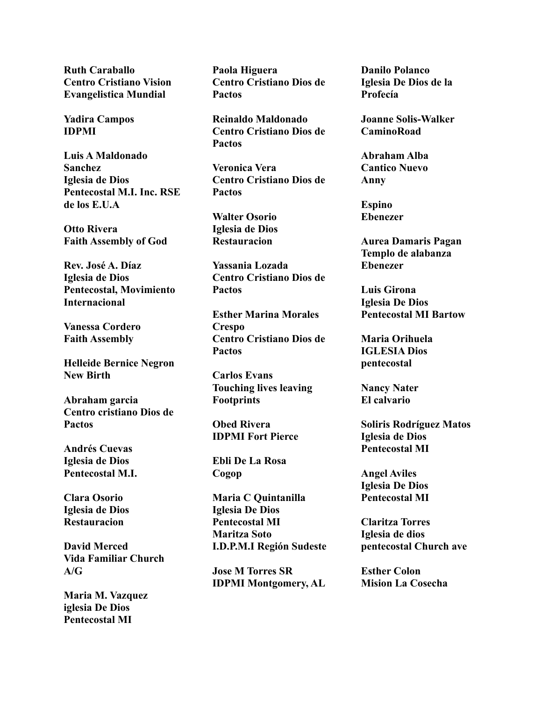**Ruth Caraballo Centro Cristiano Vision Evangelistica Mundial**

**Yadira Campos IDPMI**

**Luis A Maldonado Sanchez Iglesia de Dios Pentecostal M.I. Inc. RSE de los E.U.A**

**Otto Rivera Faith Assembly of God**

**Rev. José A. Díaz Iglesia de Dios Pentecostal, Movimiento Internacional**

**Vanessa Cordero Faith Assembly**

**Helleide Bernice Negron New Birth**

**Abraham garcia Centro cristiano Dios de Pactos**

**Andrés Cuevas Iglesia de Dios Pentecostal M.I.**

**Clara Osorio Iglesia de Dios Restauracion**

**David Merced Vida Familiar Church A/G**

**Maria M. Vazquez iglesia De Dios Pentecostal MI**

**Paola Higuera Centro Cristiano Dios de Pactos**

**Reinaldo Maldonado Centro Cristiano Dios de Pactos**

**Veronica Vera Centro Cristiano Dios de Pactos**

**Walter Osorio Iglesia de Dios Restauracion**

**Yassania Lozada Centro Cristiano Dios de Pactos**

**Esther Marina Morales Crespo Centro Cristiano Dios de Pactos**

**Carlos Evans Touching lives leaving Footprints**

**Obed Rivera IDPMI Fort Pierce**

**Ebli De La Rosa Cogop**

**Maria C Quintanilla Iglesia De Dios Pentecostal MI Maritza Soto I.D.P.M.I Región Sudeste**

**Jose M Torres SR IDPMI Montgomery, AL** **Danilo Polanco Iglesia De Dios de la Profecía**

**Joanne Solis-Walker CaminoRoad**

**Abraham Alba Cantico Nuevo Anny**

**Espino Ebenezer**

**Aurea Damaris Pagan Templo de alabanza Ebenezer**

**Luis Girona Iglesia De Dios Pentecostal MI Bartow**

**Maria Orihuela IGLESIA Dios pentecostal**

**Nancy Nater El calvario**

**Soliris Rodríguez Matos Iglesia de Dios Pentecostal MI**

**Angel Aviles Iglesia De Dios Pentecostal MI**

**Claritza Torres Iglesia de dios pentecostal Church ave**

**Esther Colon Mision La Cosecha**